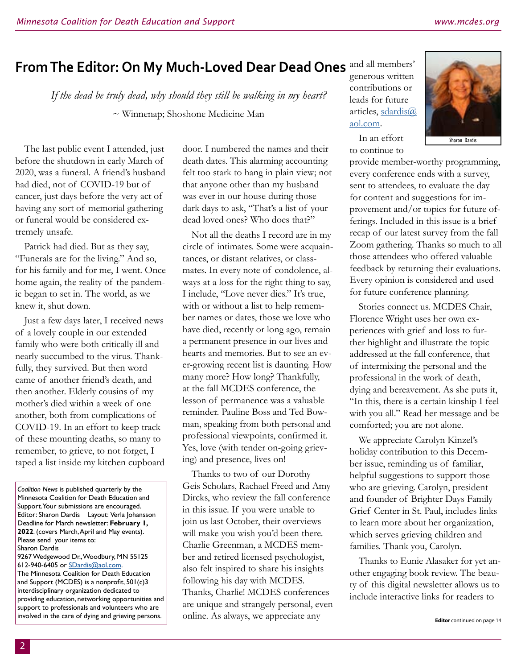## From The Editor: On My Much-Loved Dear Dead Ones and all members'

*If the dead be truly dead, why should they still be walking in my heart?* ~ Winnenap; Shoshone Medicine Man

The last public event I attended, just before the shutdown in early March of 2020, was a funeral. A friend's husband had died, not of COVID-19 but of cancer, just days before the very act of having any sort of memorial gathering or funeral would be considered extremely unsafe.

Patrick had died. But as they say, "Funerals are for the living." And so, for his family and for me, I went. Once home again, the reality of the pandemic began to set in. The world, as we knew it, shut down.

Just a few days later, I received news of a lovely couple in our extended family who were both critically ill and nearly succumbed to the virus. Thankfully, they survived. But then word came of another friend's death, and then another. Elderly cousins of my mother's died within a week of one another, both from complications of COVID-19. In an effort to keep track of these mounting deaths, so many to remember, to grieve, to not forget, I taped a list inside my kitchen cupboard door. I numbered the names and their death dates. This alarming accounting felt too stark to hang in plain view; not that anyone other than my husband was ever in our house during those dark days to ask, "That's a list of your dead loved ones? Who does that?"

Not all the deaths I record are in my circle of intimates. Some were acquaintances, or distant relatives, or classmates. In every note of condolence, always at a loss for the right thing to say, I include, "Love never dies." It's true, with or without a list to help remember names or dates, those we love who have died, recently or long ago, remain a permanent presence in our lives and hearts and memories. But to see an ever-growing recent list is daunting. How many more? How long? Thankfully, at the fall MCDES conference, the lesson of permanence was a valuable reminder. Pauline Boss and Ted Bowman, speaking from both personal and professional viewpoints, confirmed it. Yes, love (with tender on-going grieving) and presence, lives on!

Thanks to two of our Dorothy Geis Scholars, Rachael Freed and Amy Dircks, who review the fall conference in this issue. If you were unable to join us last October, their overviews will make you wish you'd been there. Charlie Greenman, a MCDES member and retired licensed psychologist, also felt inspired to share his insights following his day with MCDES. Thanks, Charlie! MCDES conferences are unique and strangely personal, even online. As always, we appreciate any

generous written contributions or leads for future articles, [sdardis@](mailto:sdardis%40aol.com?subject=) [aol.com](mailto:sdardis%40aol.com?subject=).

In an effort to continue to



provide member-worthy programming, every conference ends with a survey, sent to attendees, to evaluate the day for content and suggestions for improvement and/or topics for future offerings. Included in this issue is a brief recap of our latest survey from the fall Zoom gathering. Thanks so much to all those attendees who offered valuable feedback by returning their evaluations. Every opinion is considered and used for future conference planning.

Stories connect us. MCDES Chair, Florence Wright uses her own experiences with grief and loss to further highlight and illustrate the topic addressed at the fall conference, that of intermixing the personal and the professional in the work of death, dying and bereavement. As she puts it, "In this, there is a certain kinship I feel with you all." Read her message and be comforted; you are not alone.

We appreciate Carolyn Kinzel's holiday contribution to this December issue, reminding us of familiar, helpful suggestions to support those who are grieving. Carolyn, president and founder of Brighter Days Family Grief Center in St. Paul, includes links to learn more about her organization, which serves grieving children and families. Thank you, Carolyn.

Thanks to Eunie Alasaker for yet another engaging book review. The beauty of this digital newsletter allows us to include interactive links for readers to

*Coalition News* is published quarterly by the Minnesota Coalition for Death Education and Support. Your submissions are encouraged. Editor: Sharon Dardis Layout: Verla Johansson Deadline for March newsletter: **February 1, 2022**. (covers March, April and May events). Please send your items to: Sharon Dardis 9267 Wedgewood Dr., Woodbury, MN 55125 612-940-6405 or [SDardis@aol.com.](mailto:Sdardis%40aol.com?subject=) The Minnesota Coalition for Death Education and Support (MCDES) is a nonprofit, 501(c)3 interdisciplinary organization dedicated to providing education, networking opportunities and support to professionals and volunteers who are involved in the care of dying and grieving persons.